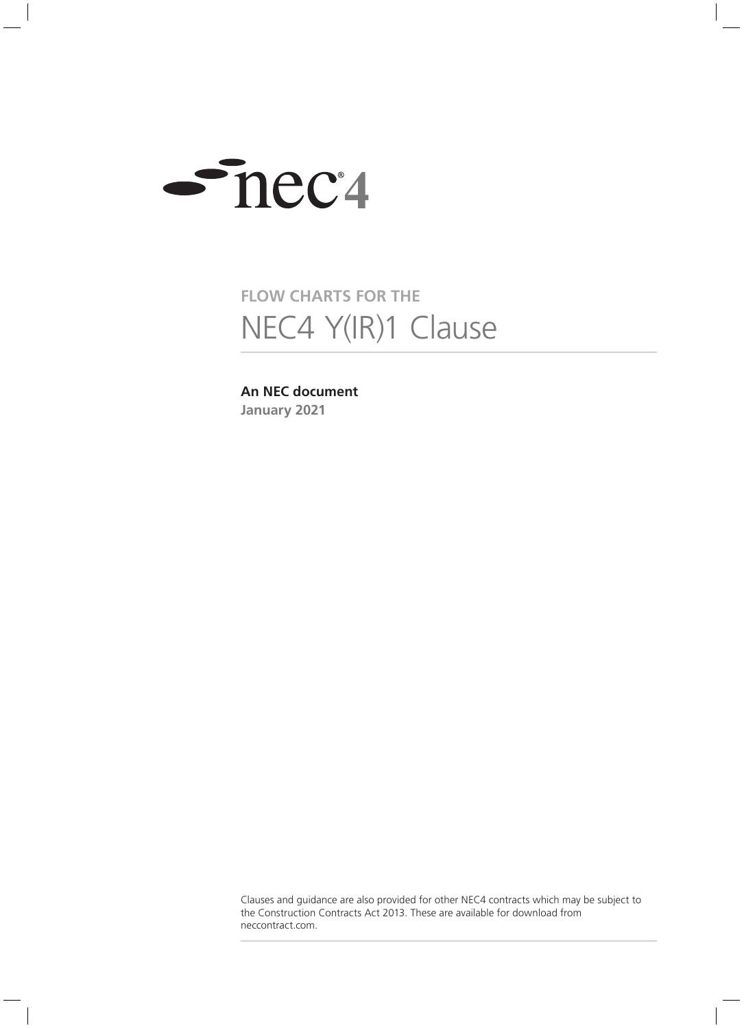

# **FLOW CHARTS FOR THE** NEC4 Y(IR)1 Clause

# **An NEC document January 2021**

Clauses and guidance are also provided for other NEC4 contracts which may be subject to the Construction Contracts Act 2013. These are available for download from neccontract.com.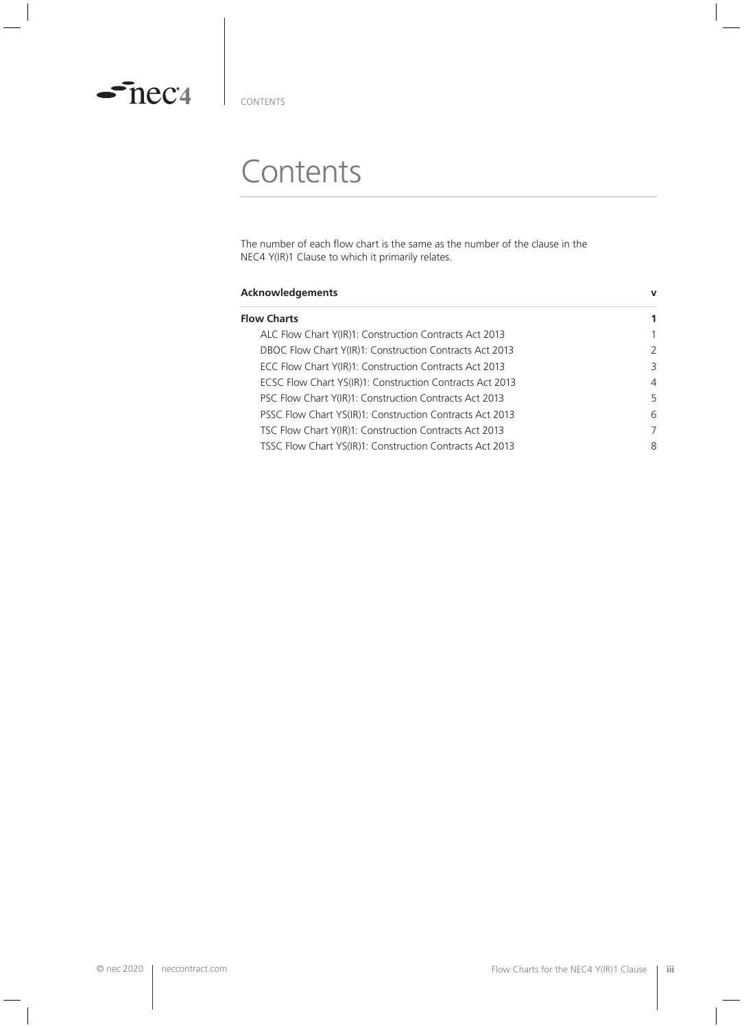

CONTENTS

# **Contents**

The number of each flow chart is the same as the number of the clause in the NEC4 Y(IR)1 Clause to which it primarily relates.

| Acknowledgements                                         | $\mathbf v$ |
|----------------------------------------------------------|-------------|
| <b>Flow Charts</b>                                       | 1           |
| ALC Flow Chart Y(IR)1: Construction Contracts Act 2013   | 1           |
| DBOC Flow Chart Y(IR)1: Construction Contracts Act 2013  | 2           |
| ECC Flow Chart Y(IR)1: Construction Contracts Act 2013   | 3           |
| ECSC Flow Chart YS(IR)1: Construction Contracts Act 2013 | 4           |
| PSC Flow Chart Y(IR)1: Construction Contracts Act 2013   | 5           |
| PSSC Flow Chart YS(IR)1: Construction Contracts Act 2013 | 6           |
| TSC Flow Chart Y(IR)1: Construction Contracts Act 2013   | 7           |
| TSSC Flow Chart YS(IR)1: Construction Contracts Act 2013 | 8           |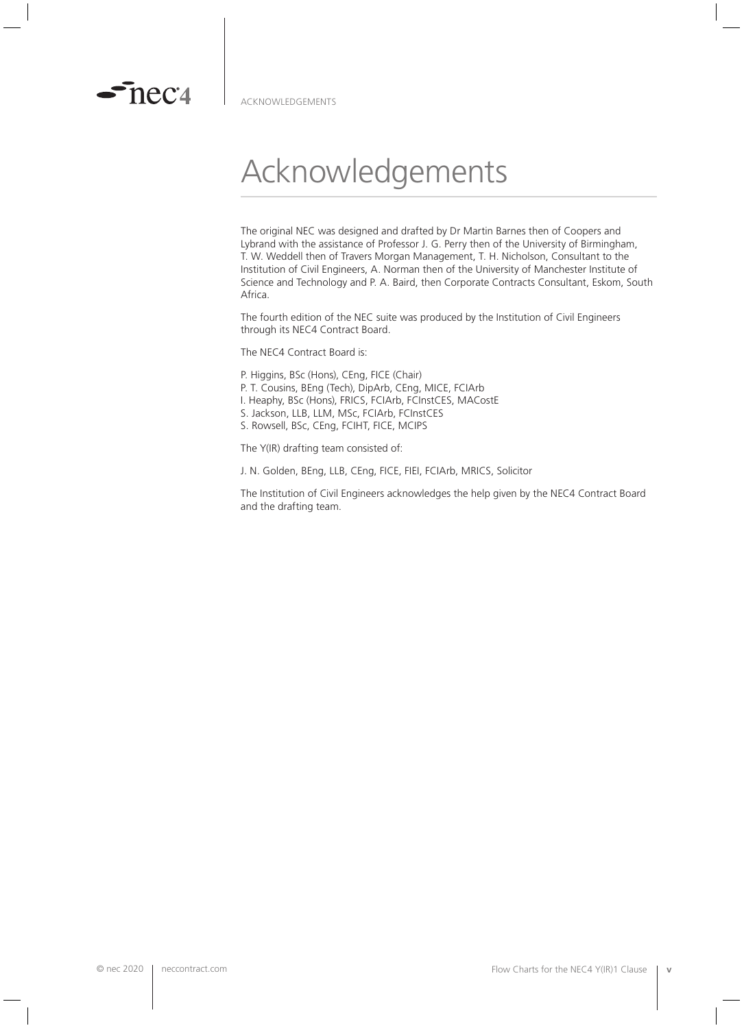

 $\sim$  nec $\alpha$ 

# Acknowledgements

The original NEC was designed and drafted by Dr Martin Barnes then of Coopers and Lybrand with the assistance of Professor J. G. Perry then of the University of Birmingham, T. W. Weddell then of Travers Morgan Management, T. H. Nicholson, Consultant to the Institution of Civil Engineers, A. Norman then of the University of Manchester Institute of Science and Technology and P. A. Baird, then Corporate Contracts Consultant, Eskom, South Africa.

The fourth edition of the NEC suite was produced by the Institution of Civil Engineers through its NEC4 Contract Board.

The NEC4 Contract Board is:

- P. Higgins, BSc (Hons), CEng, FICE (Chair) P. T. Cousins, BEng (Tech), DipArb, CEng, MICE, FCIArb
- I. Heaphy, BSc (Hons), FRICS, FCIArb, FCInstCES, MACostE
- S. Jackson, LLB, LLM, MSc, FCIArb, FCInstCES
- S. Rowsell, BSc, CEng, FCIHT, FICE, MCIPS

The Y(IR) drafting team consisted of:

J. N. Golden, BEng, LLB, CEng, FICE, FIEI, FCIArb, MRICS, Solicitor

The Institution of Civil Engineers acknowledges the help given by the NEC4 Contract Board and the drafting team.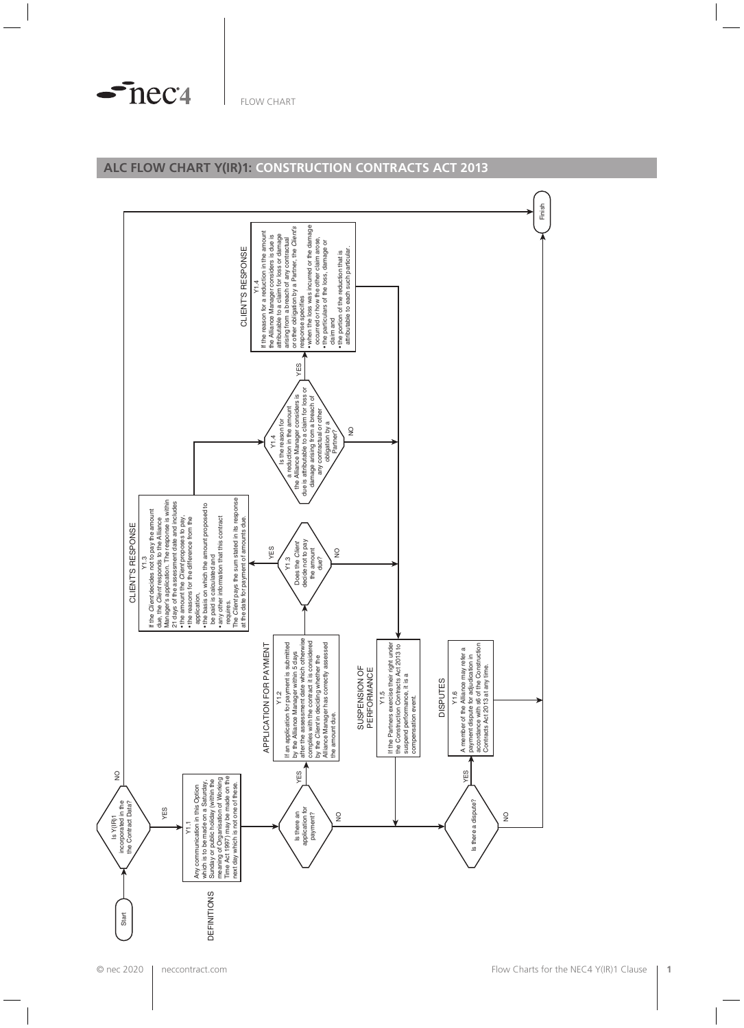$\sim$ nec<sup>4</sup>

#### **ALC FLOW CHART Y(IR)1: CONSTRUCTION CONTRACTS ACT 2013**

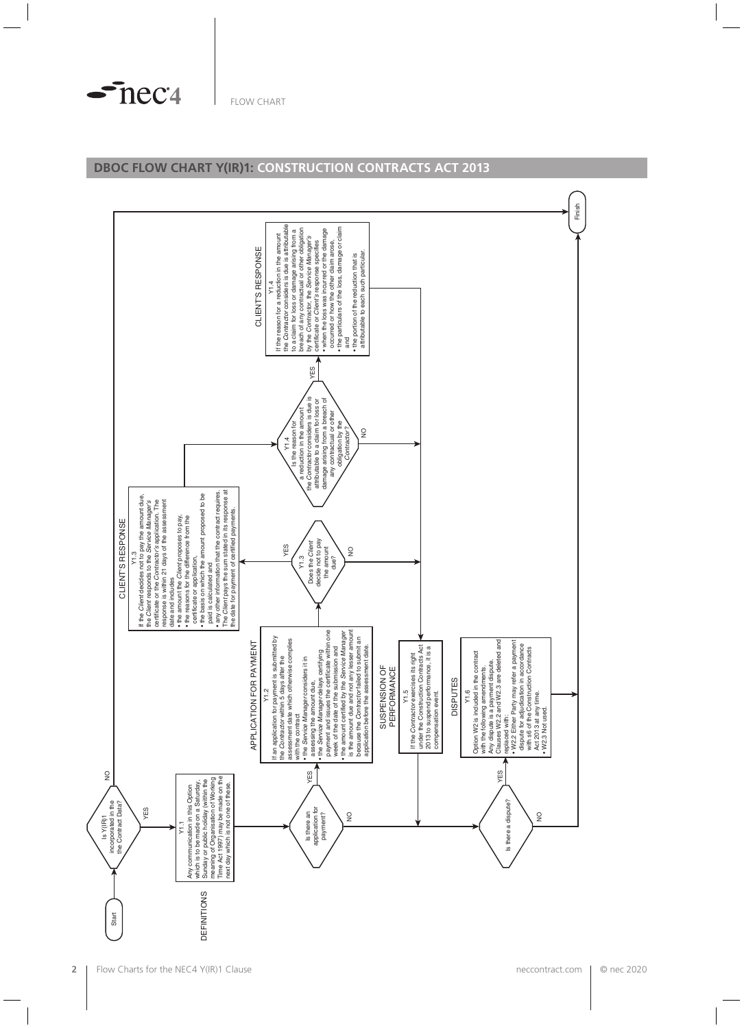$\sim$ nec<sup>4</sup>

## **DBOC FLOW CHART Y(IR)1: CONSTRUCTION CONTRACTS ACT 2013**

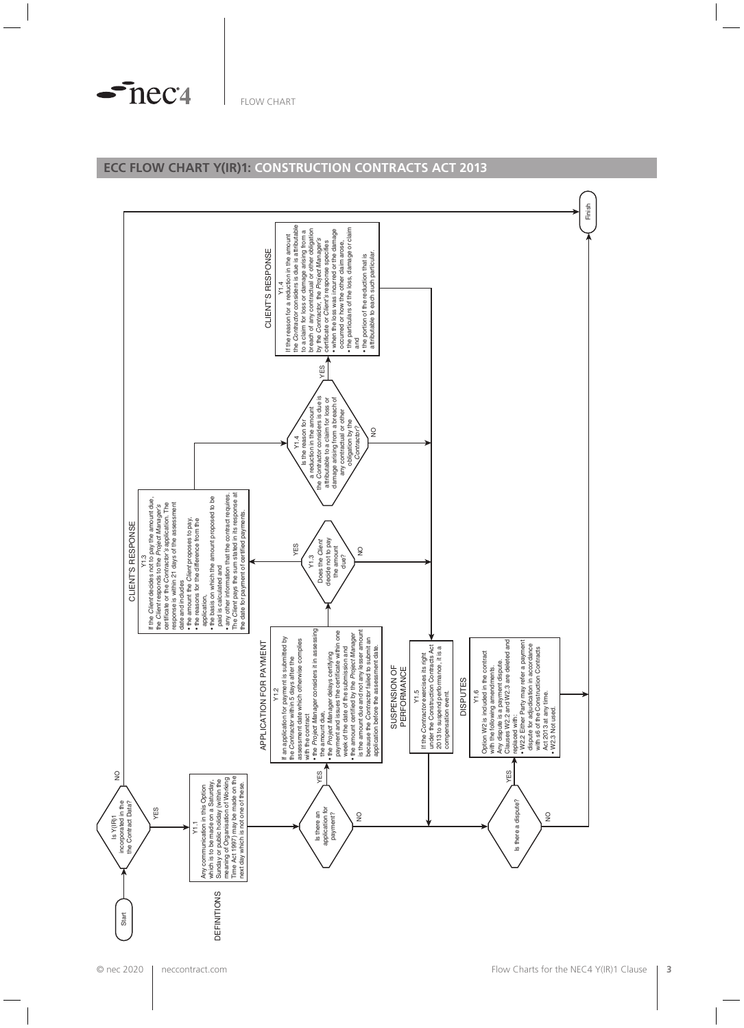$\sim$ nec<sup>4</sup>

#### **ECC FLOW CHART Y(IR)1: CONSTRUCTION CONTRACTS ACT 2013**

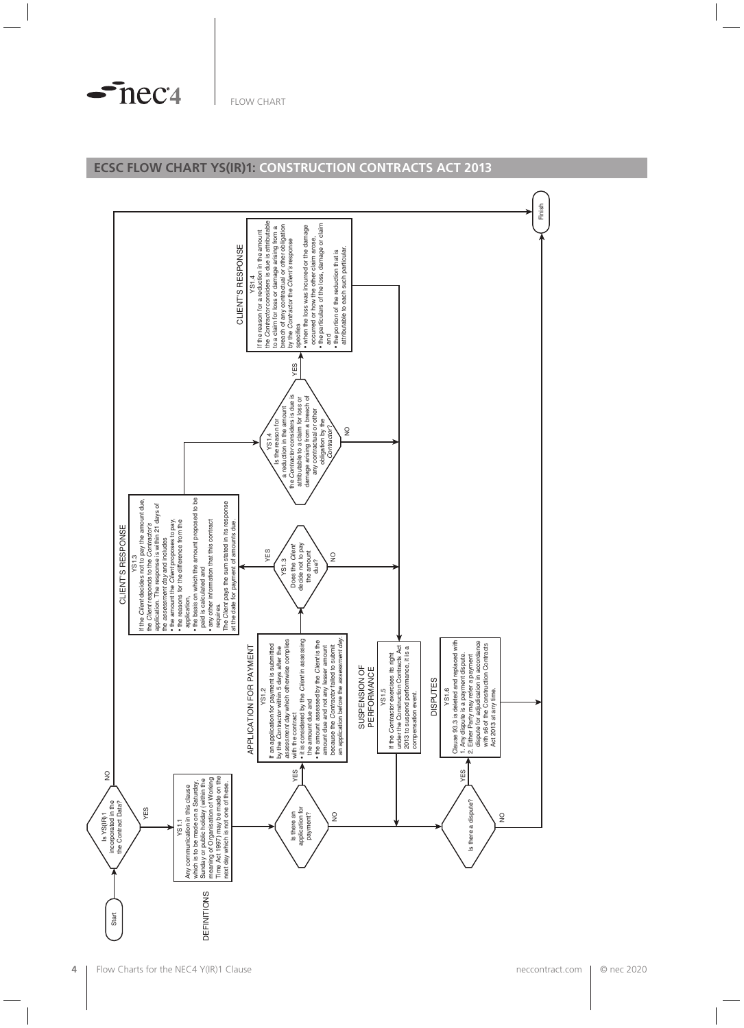$\sim$ nec<sup>4</sup>

#### **ECSC FLOW CHART YS(IR)1: CONSTRUCTION CONTRACTS ACT 2013**

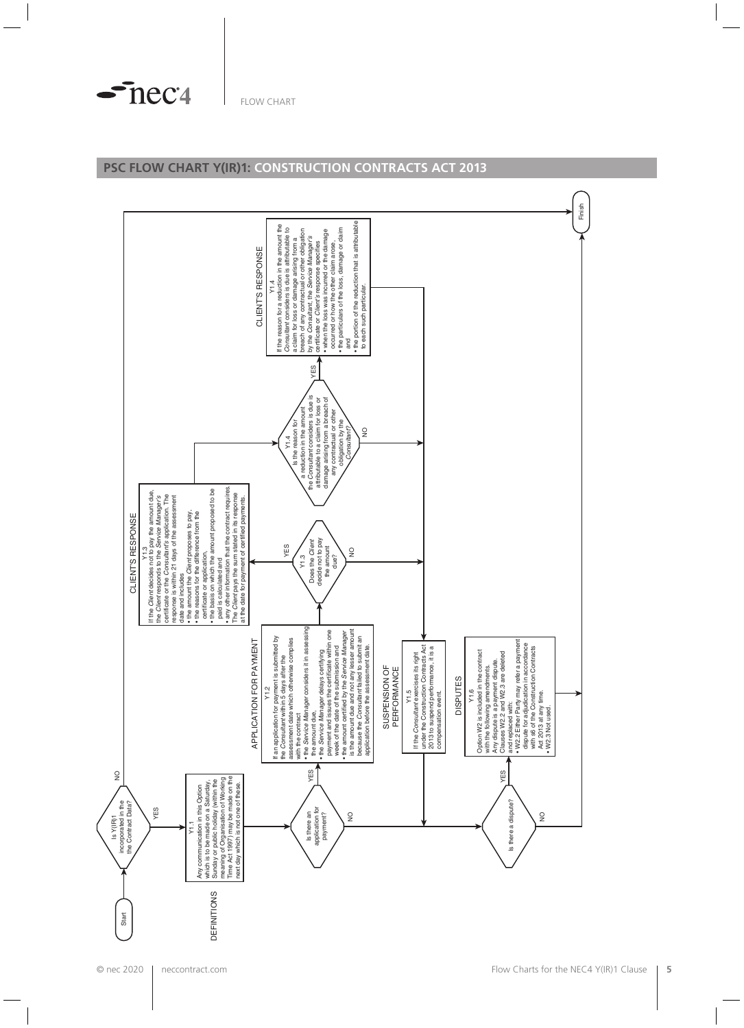$\sim$ nec<sup>4</sup>

#### **PSC FLOW CHART Y(IR)1: CONSTRUCTION CONTRACTS ACT 2013**

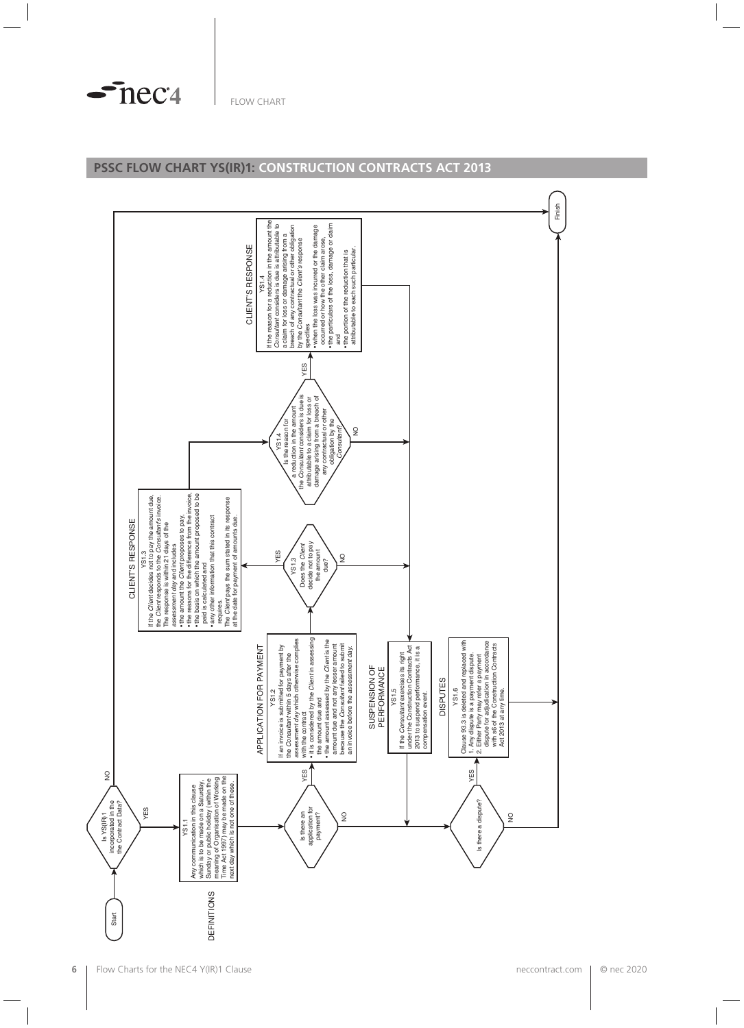$\sim$ nec<sup>4</sup>

#### **PSSC FLOW CHART YS(IR)1: CONSTRUCTION CONTRACTS ACT 2013**

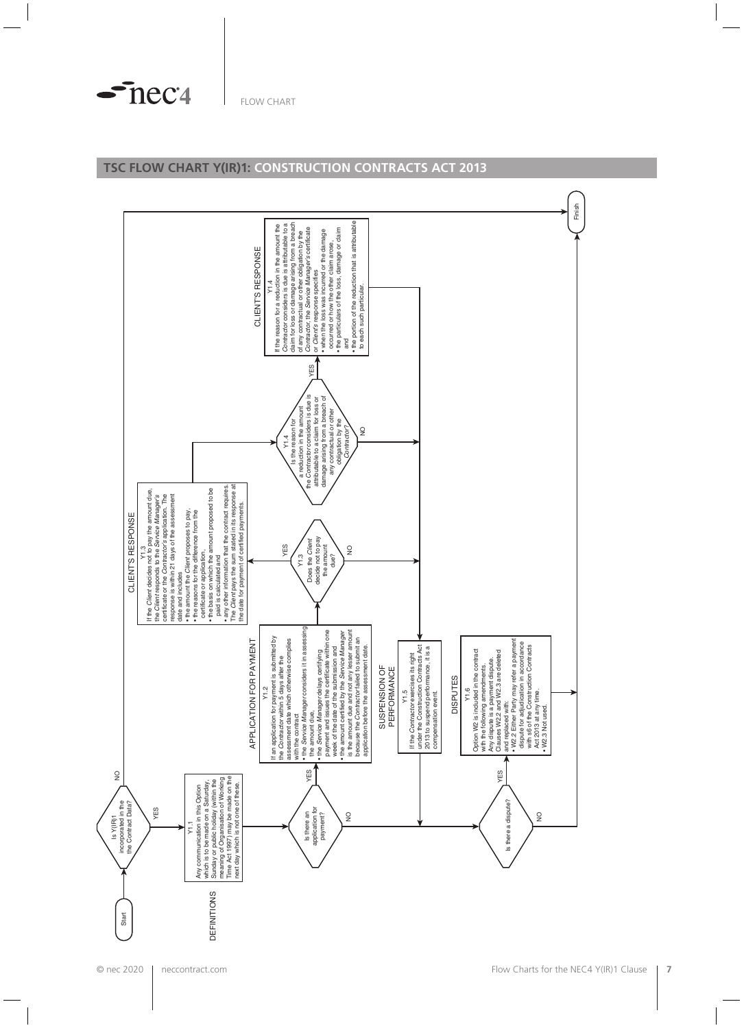$\sim$ nec $4$ 

## **TSC FLOW CHART Y(IR)1: CONSTRUCTION CONTRACTS ACT 2013**